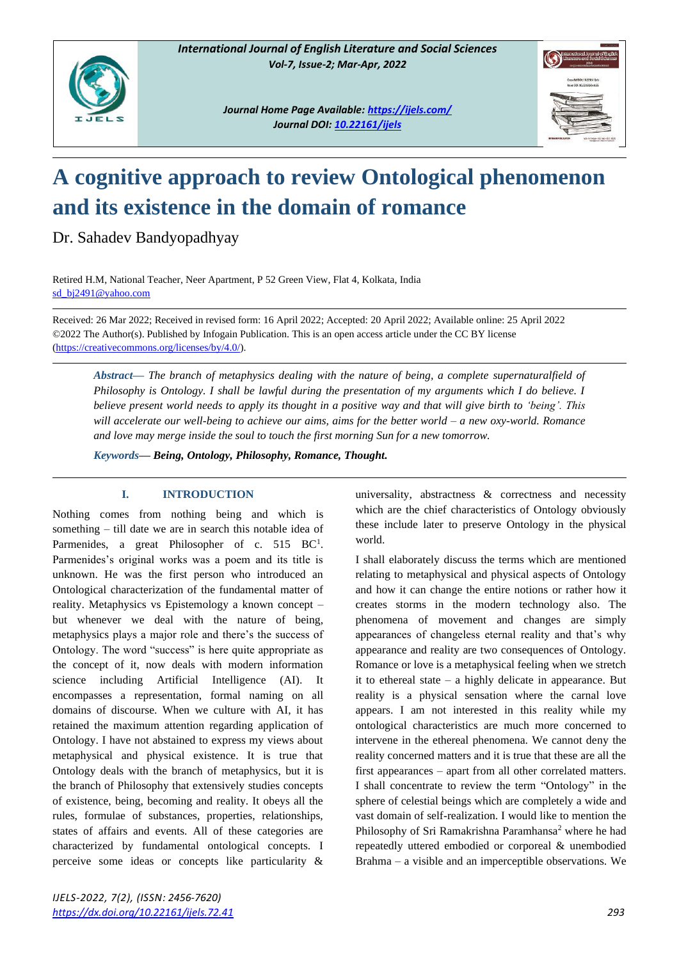

*Journal Home Page Available[: https://ijels.com/](https://ijels.com/) Journal DOI: 10.22161/ijels*



# **A cognitive approach to review Ontological phenomenon and its existence in the domain of romance**

Dr. Sahadev Bandyopadhyay

Retired H.M, National Teacher, Neer Apartment, P 52 Green View, Flat 4, Kolkata, India [sd\\_bj2491@yahoo.com](mailto:sd_bj2491@yahoo.com)

Received: 26 Mar 2022; Received in revised form: 16 April 2022; Accepted: 20 April 2022; Available online: 25 April 2022 ©2022 The Author(s). Published by Infogain Publication. This is an open access article under the CC BY license [\(https://creativecommons.org/licenses/by/4.0/\)](https://creativecommons.org/licenses/by/4.0/).

*Abstract— The branch of metaphysics dealing with the nature of being, a complete supernaturalfield of Philosophy is Ontology. I shall be lawful during the presentation of my arguments which I do believe. I believe present world needs to apply its thought in a positive way and that will give birth to 'being'. This will accelerate our well-being to achieve our aims, aims for the better world – a new oxy-world. Romance and love may merge inside the soul to touch the first morning Sun for a new tomorrow.*

*Keywords— Being, Ontology, Philosophy, Romance, Thought.*

### **I. INTRODUCTION**

Nothing comes from nothing being and which is something – till date we are in search this notable idea of Parmenides, a great Philosopher of c.  $515$  BC<sup>1</sup>. Parmenides's original works was a poem and its title is unknown. He was the first person who introduced an Ontological characterization of the fundamental matter of reality. Metaphysics vs Epistemology a known concept – but whenever we deal with the nature of being, metaphysics plays a major role and there's the success of Ontology. The word "success" is here quite appropriate as the concept of it, now deals with modern information science including Artificial Intelligence (AI). It encompasses a representation, formal naming on all domains of discourse. When we culture with AI, it has retained the maximum attention regarding application of Ontology. I have not abstained to express my views about metaphysical and physical existence. It is true that Ontology deals with the branch of metaphysics, but it is the branch of Philosophy that extensively studies concepts of existence, being, becoming and reality. It obeys all the rules, formulae of substances, properties, relationships, states of affairs and events. All of these categories are characterized by fundamental ontological concepts. I perceive some ideas or concepts like particularity &

universality, abstractness & correctness and necessity which are the chief characteristics of Ontology obviously these include later to preserve Ontology in the physical world.

I shall elaborately discuss the terms which are mentioned relating to metaphysical and physical aspects of Ontology and how it can change the entire notions or rather how it creates storms in the modern technology also. The phenomena of movement and changes are simply appearances of changeless eternal reality and that's why appearance and reality are two consequences of Ontology. Romance or love is a metaphysical feeling when we stretch it to ethereal state – a highly delicate in appearance. But reality is a physical sensation where the carnal love appears. I am not interested in this reality while my ontological characteristics are much more concerned to intervene in the ethereal phenomena. We cannot deny the reality concerned matters and it is true that these are all the first appearances – apart from all other correlated matters. I shall concentrate to review the term "Ontology" in the sphere of celestial beings which are completely a wide and vast domain of self-realization. I would like to mention the Philosophy of Sri Ramakrishna Paramhansa<sup>2</sup> where he had repeatedly uttered embodied or corporeal & unembodied Brahma – a visible and an imperceptible observations. We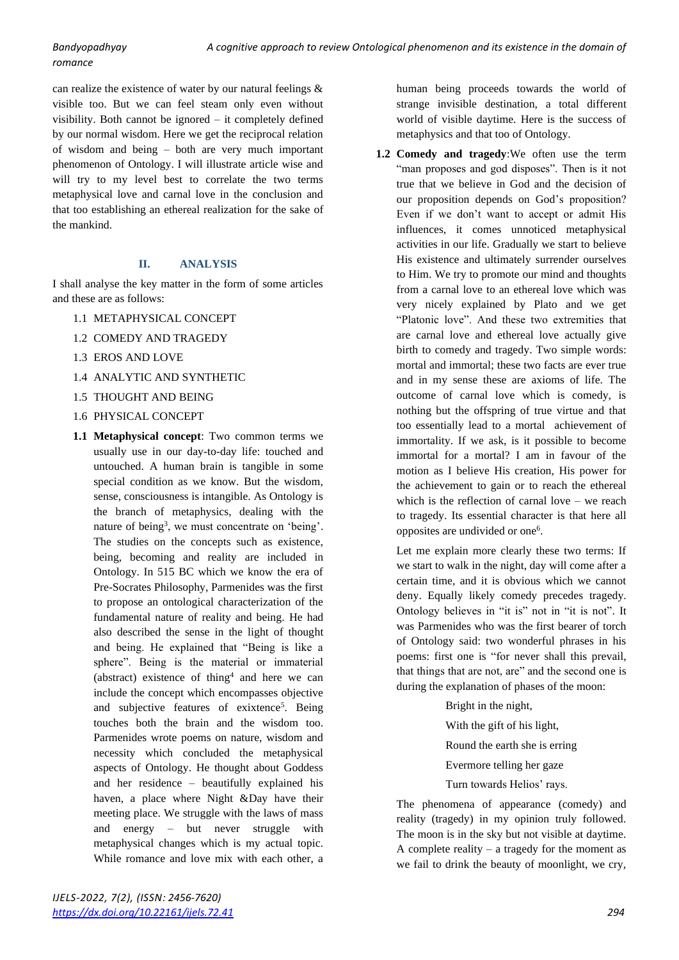## *romance*

can realize the existence of water by our natural feelings & visible too. But we can feel steam only even without visibility. Both cannot be ignored – it completely defined by our normal wisdom. Here we get the reciprocal relation of wisdom and being – both are very much important phenomenon of Ontology. I will illustrate article wise and will try to my level best to correlate the two terms metaphysical love and carnal love in the conclusion and that too establishing an ethereal realization for the sake of the mankind.

#### **II. ANALYSIS**

I shall analyse the key matter in the form of some articles and these are as follows:

- 1.1 METAPHYSICAL CONCEPT
- 1.2 COMEDY AND TRAGEDY
- 1.3 EROS AND LOVE
- 1.4 ANALYTIC AND SYNTHETIC
- 1.5 THOUGHT AND BEING
- 1.6 PHYSICAL CONCEPT
- **1.1 Metaphysical concept**: Two common terms we usually use in our day-to-day life: touched and untouched. A human brain is tangible in some special condition as we know. But the wisdom, sense, consciousness is intangible. As Ontology is the branch of metaphysics, dealing with the nature of being<sup>3</sup>, we must concentrate on 'being'. The studies on the concepts such as existence, being, becoming and reality are included in Ontology. In 515 BC which we know the era of Pre-Socrates Philosophy, Parmenides was the first to propose an ontological characterization of the fundamental nature of reality and being. He had also described the sense in the light of thought and being. He explained that "Being is like a sphere". Being is the material or immaterial (abstract) existence of thing<sup>4</sup> and here we can include the concept which encompasses objective and subjective features of exixtence<sup>5</sup>. Being touches both the brain and the wisdom too. Parmenides wrote poems on nature, wisdom and necessity which concluded the metaphysical aspects of Ontology. He thought about Goddess and her residence – beautifully explained his haven, a place where Night &Day have their meeting place. We struggle with the laws of mass and energy – but never struggle with metaphysical changes which is my actual topic. While romance and love mix with each other, a

human being proceeds towards the world of strange invisible destination, a total different world of visible daytime. Here is the success of metaphysics and that too of Ontology.

**1.2 Comedy and tragedy**:We often use the term "man proposes and god disposes". Then is it not true that we believe in God and the decision of our proposition depends on God's proposition? Even if we don't want to accept or admit His influences, it comes unnoticed metaphysical activities in our life. Gradually we start to believe His existence and ultimately surrender ourselves to Him. We try to promote our mind and thoughts from a carnal love to an ethereal love which was very nicely explained by Plato and we get "Platonic love". And these two extremities that are carnal love and ethereal love actually give birth to comedy and tragedy. Two simple words: mortal and immortal; these two facts are ever true and in my sense these are axioms of life. The outcome of carnal love which is comedy, is nothing but the offspring of true virtue and that too essentially lead to a mortal achievement of immortality. If we ask, is it possible to become immortal for a mortal? I am in favour of the motion as I believe His creation, His power for the achievement to gain or to reach the ethereal which is the reflection of carnal love – we reach to tragedy. Its essential character is that here all opposites are undivided or one<sup>6</sup>.

Let me explain more clearly these two terms: If we start to walk in the night, day will come after a certain time, and it is obvious which we cannot deny. Equally likely comedy precedes tragedy. Ontology believes in "it is" not in "it is not". It was Parmenides who was the first bearer of torch of Ontology said: two wonderful phrases in his poems: first one is "for never shall this prevail, that things that are not, are" and the second one is during the explanation of phases of the moon:

> Bright in the night, With the gift of his light, Round the earth she is erring Evermore telling her gaze Turn towards Helios' rays.

The phenomena of appearance (comedy) and reality (tragedy) in my opinion truly followed. The moon is in the sky but not visible at daytime. A complete reality – a tragedy for the moment as we fail to drink the beauty of moonlight, we cry,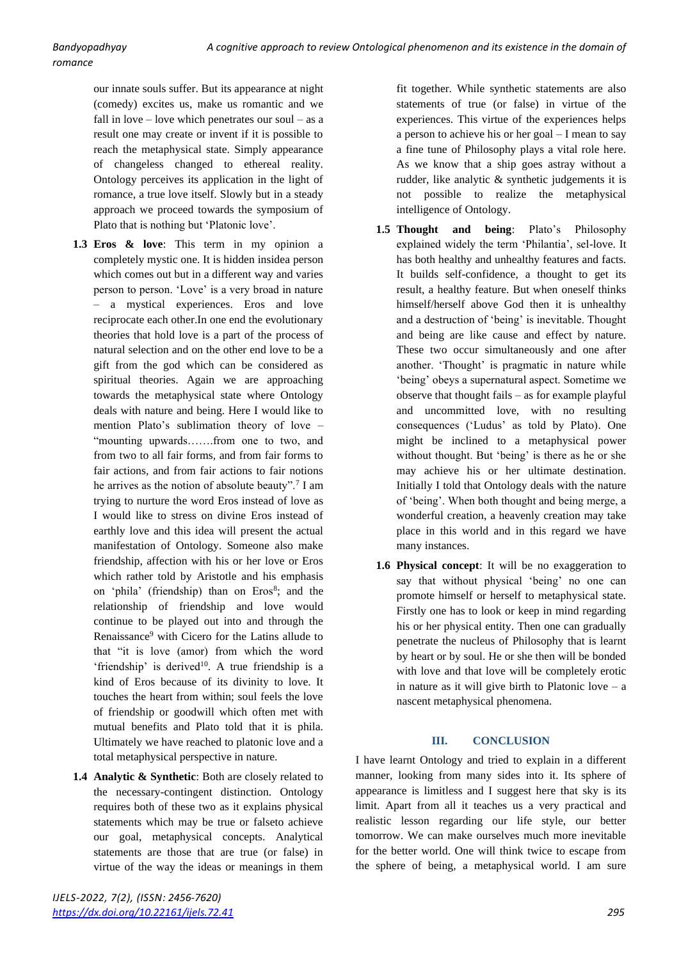our innate souls suffer. But its appearance at night (comedy) excites us, make us romantic and we fall in love – love which penetrates our soul – as a result one may create or invent if it is possible to reach the metaphysical state. Simply appearance of changeless changed to ethereal reality. Ontology perceives its application in the light of romance, a true love itself. Slowly but in a steady approach we proceed towards the symposium of Plato that is nothing but 'Platonic love'.

- **1.3 Eros & love**: This term in my opinion a completely mystic one. It is hidden insidea person which comes out but in a different way and varies person to person. 'Love' is a very broad in nature – a mystical experiences. Eros and love reciprocate each other.In one end the evolutionary theories that hold love is a part of the process of natural selection and on the other end love to be a gift from the god which can be considered as spiritual theories. Again we are approaching towards the metaphysical state where Ontology deals with nature and being. Here I would like to mention Plato's sublimation theory of love – "mounting upwards…….from one to two, and from two to all fair forms, and from fair forms to fair actions, and from fair actions to fair notions he arrives as the notion of absolute beauty".<sup>7</sup> I am trying to nurture the word Eros instead of love as I would like to stress on divine Eros instead of earthly love and this idea will present the actual manifestation of Ontology. Someone also make friendship, affection with his or her love or Eros which rather told by Aristotle and his emphasis on 'phila' (friendship) than on Eros<sup>8</sup>; and the relationship of friendship and love would continue to be played out into and through the Renaissance<sup>9</sup> with Cicero for the Latins allude to that "it is love (amor) from which the word 'friendship' is derived<sup>10</sup>. A true friendship is a kind of Eros because of its divinity to love. It touches the heart from within; soul feels the love of friendship or goodwill which often met with mutual benefits and Plato told that it is phila. Ultimately we have reached to platonic love and a total metaphysical perspective in nature.
- **1.4 Analytic & Synthetic**: Both are closely related to the necessary-contingent distinction. Ontology requires both of these two as it explains physical statements which may be true or falseto achieve our goal, metaphysical concepts. Analytical statements are those that are true (or false) in virtue of the way the ideas or meanings in them

fit together. While synthetic statements are also statements of true (or false) in virtue of the experiences. This virtue of the experiences helps a person to achieve his or her goal – I mean to say a fine tune of Philosophy plays a vital role here. As we know that a ship goes astray without a rudder, like analytic & synthetic judgements it is not possible to realize the metaphysical intelligence of Ontology.

- **1.5 Thought and being**: Plato's Philosophy explained widely the term 'Philantia', sel-love. It has both healthy and unhealthy features and facts. It builds self-confidence, a thought to get its result, a healthy feature. But when oneself thinks himself/herself above God then it is unhealthy and a destruction of 'being' is inevitable. Thought and being are like cause and effect by nature. These two occur simultaneously and one after another. 'Thought' is pragmatic in nature while 'being' obeys a supernatural aspect. Sometime we observe that thought fails – as for example playful and uncommitted love, with no resulting consequences ('Ludus' as told by Plato). One might be inclined to a metaphysical power without thought. But 'being' is there as he or she may achieve his or her ultimate destination. Initially I told that Ontology deals with the nature of 'being'. When both thought and being merge, a wonderful creation, a heavenly creation may take place in this world and in this regard we have many instances.
- **1.6 Physical concept**: It will be no exaggeration to say that without physical 'being' no one can promote himself or herself to metaphysical state. Firstly one has to look or keep in mind regarding his or her physical entity. Then one can gradually penetrate the nucleus of Philosophy that is learnt by heart or by soul. He or she then will be bonded with love and that love will be completely erotic in nature as it will give birth to Platonic love  $-$  a nascent metaphysical phenomena.

#### **III. CONCLUSION**

I have learnt Ontology and tried to explain in a different manner, looking from many sides into it. Its sphere of appearance is limitless and I suggest here that sky is its limit. Apart from all it teaches us a very practical and realistic lesson regarding our life style, our better tomorrow. We can make ourselves much more inevitable for the better world. One will think twice to escape from the sphere of being, a metaphysical world. I am sure